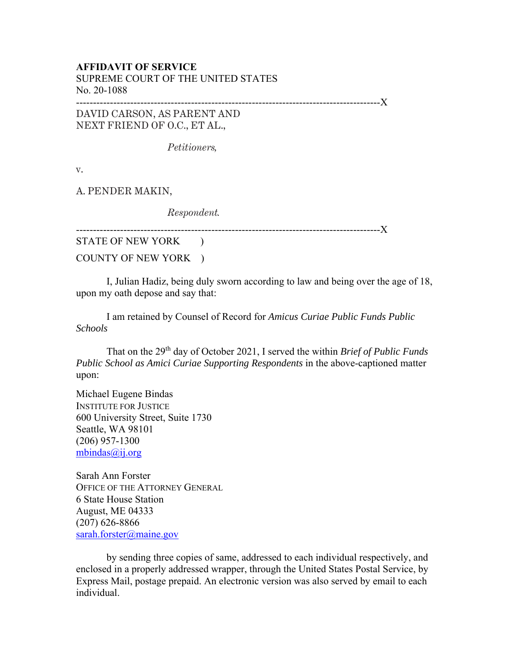## **AFFIDAVIT OF SERVICE**  SUPREME COURT OF THE UNITED STATES No. 20-1088

------------------------------------------------------------------------------------------X

DAVID CARSON, AS PARENT AND NEXT FRIEND OF O.C., ET AL.,

*Petitioners,* 

v.

A. PENDER MAKIN,

*Respondent.* 

------------------------------------------------------------------------------------------X

STATE OF NEW YORK ) COUNTY OF NEW YORK )

I, Julian Hadiz, being duly sworn according to law and being over the age of 18, upon my oath depose and say that:

I am retained by Counsel of Record for *Amicus Curiae Public Funds Public Schools* 

That on the 29th day of October 2021, I served the within *Brief of Public Funds Public School as Amici Curiae Supporting Respondents* in the above-captioned matter upon:

Michael Eugene Bindas INSTITUTE FOR JUSTICE 600 University Street, Suite 1730 Seattle, WA 98101 (206) 957-1300 mbindas@ij.org

Sarah Ann Forster OFFICE OF THE ATTORNEY GENERAL 6 State House Station August, ME 04333 (207) 626-8866 sarah.forster@maine.gov

by sending three copies of same, addressed to each individual respectively, and enclosed in a properly addressed wrapper, through the United States Postal Service, by Express Mail, postage prepaid. An electronic version was also served by email to each individual.